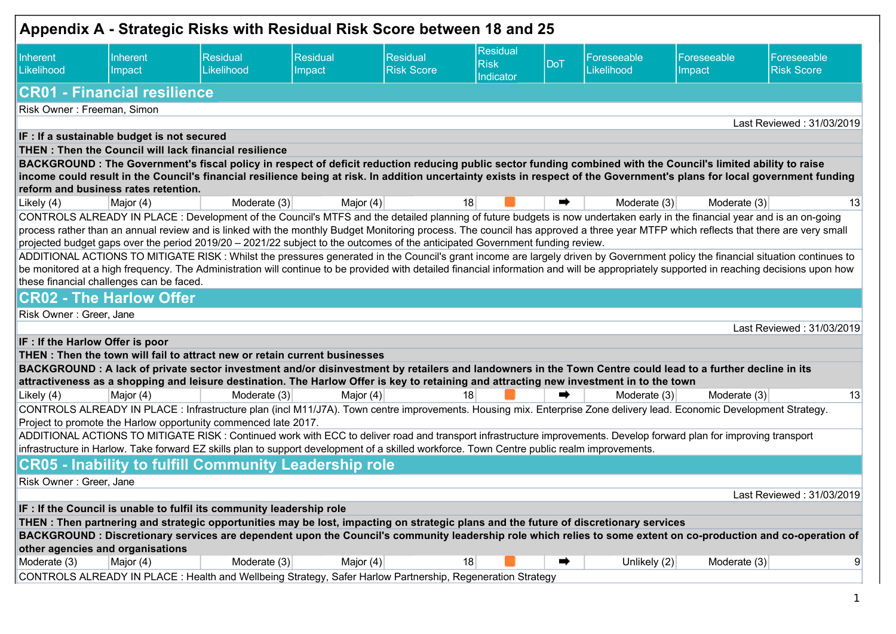| Appendix A - Strategic Risks with Residual Risk Score between 18 and 25 |                                             |                                                                                                                                                                            |                                                                                                                                             |                               |                                      |     |                           |                       |                                                                                                                                                                                          |
|-------------------------------------------------------------------------|---------------------------------------------|----------------------------------------------------------------------------------------------------------------------------------------------------------------------------|---------------------------------------------------------------------------------------------------------------------------------------------|-------------------------------|--------------------------------------|-----|---------------------------|-----------------------|------------------------------------------------------------------------------------------------------------------------------------------------------------------------------------------|
| Inherent<br>Likelihood                                                  | Inherent<br>Impact                          | <b>Residual</b><br>Likelihood                                                                                                                                              | Residual<br>Impact                                                                                                                          | Residual<br><b>Risk Score</b> | Residual<br><b>Risk</b><br>Indicator | DoT | Foreseeable<br>Likelihood | Foreseeable<br>Impact | Foreseeable<br><b>Risk Score</b>                                                                                                                                                         |
|                                                                         | <b>CR01 - Financial resilience</b>          |                                                                                                                                                                            |                                                                                                                                             |                               |                                      |     |                           |                       |                                                                                                                                                                                          |
| Risk Owner: Freeman, Simon                                              |                                             |                                                                                                                                                                            |                                                                                                                                             |                               |                                      |     |                           |                       |                                                                                                                                                                                          |
|                                                                         |                                             |                                                                                                                                                                            |                                                                                                                                             |                               |                                      |     |                           |                       | Last Reviewed: 31/03/2019                                                                                                                                                                |
|                                                                         | IF : If a sustainable budget is not secured | THEN: Then the Council will lack financial resilience                                                                                                                      |                                                                                                                                             |                               |                                      |     |                           |                       |                                                                                                                                                                                          |
|                                                                         |                                             | BACKGROUND: The Government's fiscal policy in respect of deficit reduction reducing public sector funding combined with the Council's limited ability to raise             |                                                                                                                                             |                               |                                      |     |                           |                       |                                                                                                                                                                                          |
|                                                                         |                                             |                                                                                                                                                                            |                                                                                                                                             |                               |                                      |     |                           |                       | income could result in the Council's financial resilience being at risk. In addition uncertainty exists in respect of the Government's plans for local government funding                |
|                                                                         | reform and business rates retention.        |                                                                                                                                                                            |                                                                                                                                             |                               |                                      |     |                           |                       |                                                                                                                                                                                          |
| Likely (4)                                                              | Major (4)                                   | Moderate $(3)$                                                                                                                                                             | Major (4)                                                                                                                                   |                               | 18                                   | ➡   | Moderate (3)              | Moderate (3)          | 13                                                                                                                                                                                       |
|                                                                         |                                             | CONTROLS ALREADY IN PLACE : Development of the Council's MTFS and the detailed planning of future budgets is now undertaken early in the financial year and is an on-going |                                                                                                                                             |                               |                                      |     |                           |                       |                                                                                                                                                                                          |
|                                                                         |                                             | projected budget gaps over the period 2019/20 - 2021/22 subject to the outcomes of the anticipated Government funding review.                                              |                                                                                                                                             |                               |                                      |     |                           |                       | process rather than an annual review and is linked with the monthly Budget Monitoring process. The council has approved a three year MTFP which reflects that there are very small       |
|                                                                         |                                             |                                                                                                                                                                            |                                                                                                                                             |                               |                                      |     |                           |                       | ADDITIONAL ACTIONS TO MITIGATE RISK: Whilst the pressures generated in the Council's grant income are largely driven by Government policy the financial situation continues to           |
|                                                                         |                                             |                                                                                                                                                                            |                                                                                                                                             |                               |                                      |     |                           |                       | be monitored at a high frequency. The Administration will continue to be provided with detailed financial information and will be appropriately supported in reaching decisions upon how |
|                                                                         | these financial challenges can be faced.    |                                                                                                                                                                            |                                                                                                                                             |                               |                                      |     |                           |                       |                                                                                                                                                                                          |
|                                                                         | <b>CR02 - The Harlow Offer</b>              |                                                                                                                                                                            |                                                                                                                                             |                               |                                      |     |                           |                       |                                                                                                                                                                                          |
| Risk Owner: Greer, Jane                                                 |                                             |                                                                                                                                                                            |                                                                                                                                             |                               |                                      |     |                           |                       |                                                                                                                                                                                          |
|                                                                         |                                             |                                                                                                                                                                            |                                                                                                                                             |                               |                                      |     |                           |                       | Last Reviewed: 31/03/2019                                                                                                                                                                |
| IF : If the Harlow Offer is poor                                        |                                             |                                                                                                                                                                            |                                                                                                                                             |                               |                                      |     |                           |                       |                                                                                                                                                                                          |
|                                                                         |                                             | THEN: Then the town will fail to attract new or retain current businesses                                                                                                  |                                                                                                                                             |                               |                                      |     |                           |                       |                                                                                                                                                                                          |
|                                                                         |                                             | BACKGROUND : A lack of private sector investment and/or disinvestment by retailers and landowners in the Town Centre could lead to a further decline in its                |                                                                                                                                             |                               |                                      |     |                           |                       |                                                                                                                                                                                          |
| Likely (4)                                                              | Major (4)                                   | attractiveness as a shopping and leisure destination. The Harlow Offer is key to retaining and attracting new investment in to the town<br>Moderate (3)                    | Major (4)                                                                                                                                   |                               | 18                                   |     | Moderate (3)              | Moderate (3)          | 13                                                                                                                                                                                       |
|                                                                         |                                             | CONTROLS ALREADY IN PLACE : Infrastructure plan (incl M11/J7A). Town centre improvements. Housing mix. Enterprise Zone delivery lead. Economic Development Strategy.       |                                                                                                                                             |                               |                                      |     |                           |                       |                                                                                                                                                                                          |
|                                                                         |                                             | Project to promote the Harlow opportunity commenced late 2017.                                                                                                             |                                                                                                                                             |                               |                                      |     |                           |                       |                                                                                                                                                                                          |
|                                                                         |                                             | ADDITIONAL ACTIONS TO MITIGATE RISK: Continued work with ECC to deliver road and transport infrastructure improvements. Develop forward plan for improving transport       |                                                                                                                                             |                               |                                      |     |                           |                       |                                                                                                                                                                                          |
|                                                                         |                                             |                                                                                                                                                                            | infrastructure in Harlow. Take forward EZ skills plan to support development of a skilled workforce. Town Centre public realm improvements. |                               |                                      |     |                           |                       |                                                                                                                                                                                          |
|                                                                         |                                             |                                                                                                                                                                            |                                                                                                                                             |                               |                                      |     |                           |                       |                                                                                                                                                                                          |
|                                                                         |                                             | <b>CR05 - Inability to fulfill Community Leadership role</b>                                                                                                               |                                                                                                                                             |                               |                                      |     |                           |                       |                                                                                                                                                                                          |
| Risk Owner: Greer, Jane                                                 |                                             |                                                                                                                                                                            |                                                                                                                                             |                               |                                      |     |                           |                       |                                                                                                                                                                                          |
|                                                                         |                                             |                                                                                                                                                                            |                                                                                                                                             |                               |                                      |     |                           |                       | Last Reviewed: 31/03/2019                                                                                                                                                                |
|                                                                         |                                             | IF : If the Council is unable to fulfil its community leadership role                                                                                                      |                                                                                                                                             |                               |                                      |     |                           |                       |                                                                                                                                                                                          |
|                                                                         |                                             | THEN : Then partnering and strategic opportunities may be lost, impacting on strategic plans and the future of discretionary services                                      |                                                                                                                                             |                               |                                      |     |                           |                       |                                                                                                                                                                                          |
|                                                                         |                                             |                                                                                                                                                                            |                                                                                                                                             |                               |                                      |     |                           |                       | BACKGROUND : Discretionary services are dependent upon the Council's community leadership role which relies to some extent on co-production and co-operation of                          |
| other agencies and organisations<br>Moderate (3)                        | Major (4)                                   | Moderate $(3)$                                                                                                                                                             | Major $(4)$                                                                                                                                 |                               | 18                                   | ➡   | Unlikely $(2)$            | Moderate (3)          | 9                                                                                                                                                                                        |